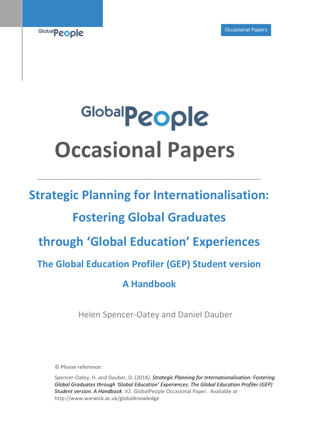

# Global**People Occasional Papers**

**\_\_\_\_\_\_\_\_\_\_\_\_\_\_\_\_\_\_\_\_\_\_\_\_\_\_\_\_\_\_\_\_\_\_\_\_\_\_\_\_\_\_\_\_\_\_\_\_\_\_\_\_\_\_\_\_\_\_\_\_\_\_\_\_\_\_\_\_\_\_\_\_\_\_\_\_\_\_**

## **Strategic Planning for Internationalisation: Fostering Global Graduates through 'Global Education' Experiences The Global Education Profiler (GEP) Student version A Handbook**

Helen Spencer-Oatey and Daniel Dauber

**© Please reference:** 

Spencer-Oatey, H. and Dauber, D. (2018*). Strategic Planning for Internationalisation: Fostering Global Graduates through 'Global Education' Experiences. The Global Education Profiler (GEP) Student version. A Handbook*. V2. GlobalPeople Occasional Paper. Available at http://www.warwick.ac.uk/globalknowledge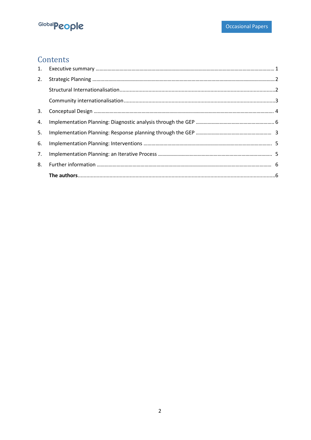

### **Contents**

| 1. |  |
|----|--|
| 2. |  |
|    |  |
|    |  |
| 3. |  |
| 4. |  |
| 5. |  |
| 6. |  |
| 7. |  |
| 8. |  |
|    |  |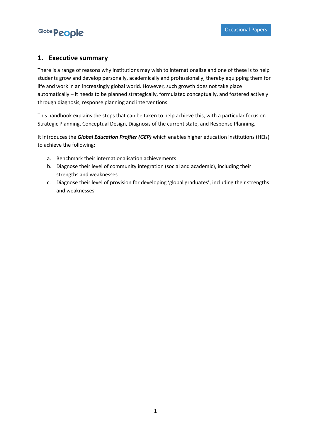

#### <span id="page-2-0"></span>**1. Executive summary**

There is a range of reasons why institutions may wish to internationalize and one of these is to help students grow and develop personally, academically and professionally, thereby equipping them for life and work in an increasingly global world. However, such growth does not take place automatically – it needs to be planned strategically, formulated conceptually, and fostered actively through diagnosis, response planning and interventions.

This handbook explains the steps that can be taken to help achieve this, with a particular focus on Strategic Planning, Conceptual Design, Diagnosis of the current state, and Response Planning.

It introduces the *Global Education Profiler (GEP)* which enables higher education institutions (HEIs) to achieve the following:

- a. Benchmark their internationalisation achievements
- b. Diagnose their level of community integration (social and academic), including their strengths and weaknesses
- c. Diagnose their level of provision for developing 'global graduates', including their strengths and weaknesses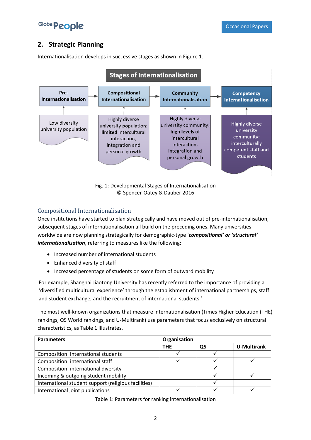

#### <span id="page-3-0"></span>**2. Strategic Planning**

Internationalisation develops in successive stages as shown in Figure 1.



Fig. 1: Developmental Stages of Internationalisation © Spencer-Oatey & Dauber 2016

#### <span id="page-3-1"></span>Compositional Internationalisation

Once institutions have started to plan strategically and have moved out of pre-internationalisation, subsequent stages of internationalisation all build on the preceding ones. Many universities worldwide are now planning strategically for demographic-type '*compositional' or 'structural' internationalisation*, referring to measures like the following:

- Increased number of international students
- Enhanced diversity of staff
- Increased percentage of students on some form of outward mobility

For example, Shanghai Jiaotong University has recently referred to the importance of providing a 'diversified multicultural experience' through the establishment of international partnerships, staff and student exchange, and the recruitment of international students.<sup>1</sup>

The most well-known organizations that measure internationalisation (Times Higher Education (THE) rankings, QS World rankings, and U-Multirank) use parameters that focus exclusively on structural characteristics, as Table 1 illustrates.

| <b>Parameters</b>                                    | Organisation |    |                    |
|------------------------------------------------------|--------------|----|--------------------|
|                                                      | <b>THE</b>   | QS | <b>U-Multirank</b> |
| Composition: international students                  |              |    |                    |
| Composition: international staff                     |              |    |                    |
| Composition: international diversity                 |              |    |                    |
| Incoming & outgoing student mobility                 |              |    |                    |
| International student support (religious facilities) |              |    |                    |
| International joint publications                     |              |    |                    |

Table 1: Parameters for ranking internationalisation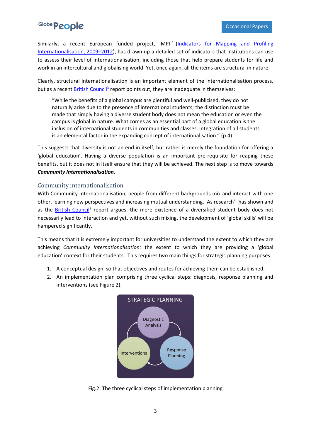Similarly, a recent European funded project, IMPI<sup>2</sup> (Indicators for Mapping and Profiling [Internationalisation, 2009](http://www.impi-project.eu/home)–2012), has drawn up a detailed set of indicators that institutions can use to assess their level of internationalisation, including those that help prepare students for life and work in an intercultural and globalising world. Yet, once again, all the items are structural in nature.

Clearly, structural internationalisation is an important element of the internationalisation process, but as a recent **British Council<sup>3</sup>** report points out, they are inadequate in themselves:

"While the benefits of a global campus are plentiful and well-publicised, they do not naturally arise due to the presence of international students; the distinction must be made that simply having a diverse student body does not mean the education or even the campus is global in nature. What comes as an essential part of a global education is the inclusion of international students in communities and classes. Integration of all students is an elemental factor in the expanding concept of internationalisation." (p.4)

This suggests that diversity is not an end in itself, but rather is merely the foundation for offering a 'global education'. Having a diverse population is an important pre-requisite for reaping these benefits, but it does not in itself ensure that they will be achieved. The next step is to move towards *Community Internationalisation.*

#### <span id="page-4-0"></span>Community internationalisation

With Community Internationalisation, people from different backgrounds mix and interact with one other, learning new perspectives and increasing mutual understanding. As research<sup>4</sup> has shown and as the **British Council<sup>3</sup>** report argues, the mere existence of a diversified student body does not necessarily lead to interaction and yet, without such mixing, the development of 'global skills' will be hampered significantly.

This means that it is extremely important for universities to understand the extent to which they are achieving *Community Internationalisation:* the extent to which they are providing a 'global education' context for their students. This requires two main things for strategic planning purposes:

- 1. A conceptual design, so that objectives and routes for achieving them can be established;
- 2. An implementation plan comprising three cyclical steps: diagnosis, response planning and interventions (see Figure 2).



Fig.2: The three cyclical steps of implementation planning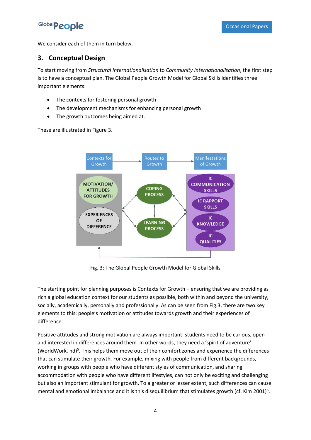We consider each of them in turn below.

#### <span id="page-5-0"></span>**3. Conceptual Design**

To start moving from *Structural Internationalisation* to *Community Internationalisation*, the first step is to have a conceptual plan. The Global People Growth Model for Global Skills identifies three important elements:

- The contexts for fostering personal growth
- The development mechanisms for enhancing personal growth
- The growth outcomes being aimed at.

These are illustrated in Figure 3.



Fig. 3: The Global People Growth Model for Global Skills

The starting point for planning purposes is Contexts for Growth – ensuring that we are providing as rich a global education context for our students as possible, both within and beyond the university, socially, academically, personally and professionally. As can be seen from Fig.3, there are two key elements to this: people's motivation or attitudes towards growth and their experiences of difference.

Positive attitudes and strong motivation are always important: students need to be curious, open and interested in differences around them. In other words, they need a 'spirit of adventure' (WorldWork,  $nd$ <sup>5</sup>. This helps them move out of their comfort zones and experience the differences that can stimulate their growth. For example, mixing with people from different backgrounds, working in groups with people who have different styles of communication, and sharing accommodation with people who have different lifestyles, can not only be exciting and challenging but also an important stimulant for growth. To a greater or lesser extent, such differences can cause mental and emotional imbalance and it is this disequilibrium that stimulates growth (cf. Kim 2001)<sup>6</sup>.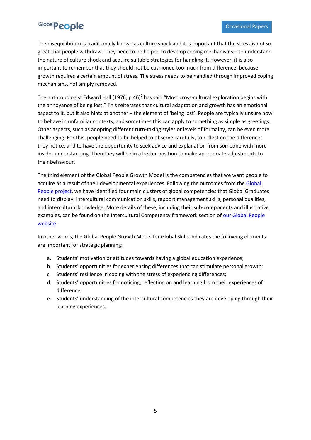The disequilibrium is traditionally known as culture shock and it is important that the stress is not so great that people withdraw. They need to be helped to develop coping mechanisms – to understand the nature of culture shock and acquire suitable strategies for handling it. However, it is also important to remember that they should not be cushioned too much from difference, because growth requires a certain amount of stress. The stress needs to be handled through improved coping mechanisms, not simply removed.

The anthropologist Edward Hall (1976, p.46)<sup>7</sup> has said "Most cross-cultural exploration begins with the annoyance of being lost." This reiterates that cultural adaptation and growth has an emotional aspect to it, but it also hints at another – the element of 'being lost'. People are typically unsure how to behave in unfamiliar contexts, and sometimes this can apply to something as simple as greetings. Other aspects, such as adopting different turn-taking styles or levels of formality, can be even more challenging. For this, people need to be helped to observe carefully, to reflect on the differences they notice, and to have the opportunity to seek advice and explanation from someone with more insider understanding. Then they will be in a better position to make appropriate adjustments to their behaviour.

The third element of the Global People Growth Model is the competencies that we want people to acquire as a result of their developmental experiences. Following the outcomes from the [Global](https://warwick.ac.uk/fac/cross_fac/globalpeople2/knowledgeexchange/projects/)  [People project,](https://warwick.ac.uk/fac/cross_fac/globalpeople2/knowledgeexchange/projects/) we have identified four main clusters of global competencies that Global Graduates need to display: intercultural communication skills, rapport management skills, personal qualities, and intercultural knowledge. More details of these, including their sub-components and illustrative examples, can be found on the Intercultural Competency framework section of our Global People [website.](https://warwick.ac.uk/fac/cross_fac/globalpeople2/knowledgeexchange/frameworks/competency/)

In other words, the Global People Growth Model for Global Skills indicates the following elements are important for strategic planning:

- a. Students' motivation or attitudes towards having a global education experience;
- b. Students' opportunities for experiencing differences that can stimulate personal growth;
- c. Students' resilience in coping with the stress of experiencing differences;
- d. Students' opportunities for noticing, reflecting on and learning from their experiences of difference;
- e. Students' understanding of the intercultural competencies they are developing through their learning experiences.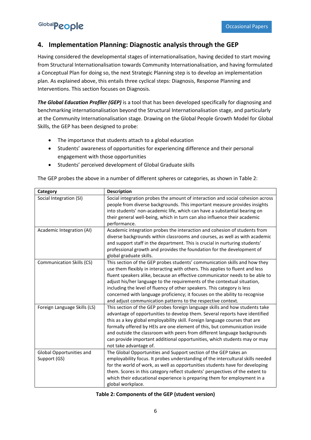#### <span id="page-7-0"></span>**4. Implementation Planning: Diagnostic analysis through the GEP**

Having considered the developmental stages of internationalisation, having decided to start moving from Structural Internationalisation towards Community Internationalisation, and having formulated a Conceptual Plan for doing so, the next Strategic Planning step is to develop an implementation plan. As explained above, this entails three cyclical steps: Diagnosis, Response Planning and Interventions. This section focuses on Diagnosis.

*The Global Education Profiler (GEP)* is a tool that has been developed specifically for diagnosing and benchmarking internationalisation beyond the Structural Internationalisation stage, and particularly at the Community Internationalisation stage. Drawing on the Global People Growth Model for Global Skills, the GEP has been designed to probe:

- The importance that students attach to a global education
- Students' awareness of opportunities for experiencing difference and their personal engagement with those opportunities
- Students' perceived development of Global Graduate skills

The GEP probes the above in a number of different spheres or categories, as shown in Table 2:

| Category                     | <b>Description</b>                                                                                                                                     |
|------------------------------|--------------------------------------------------------------------------------------------------------------------------------------------------------|
| Social Integration (SI)      | Social integration probes the amount of interaction and social cohesion across                                                                         |
|                              | people from diverse backgrounds. This important measure provides insights<br>into students' non-academic life, which can have a substantial bearing on |
|                              | their general well-being, which in turn can also influence their academic                                                                              |
|                              | performance.                                                                                                                                           |
| Academic Integration (AI)    | Academic integration probes the interaction and cohesion of students from                                                                              |
|                              | diverse backgrounds within classrooms and courses, as well as with academic                                                                            |
|                              | and support staff in the department. This is crucial in nurturing students'                                                                            |
|                              | professional growth and provides the foundation for the development of                                                                                 |
|                              | global graduate skills.                                                                                                                                |
| Communication Skills (CS)    | This section of the GEP probes students' communication skills and how they                                                                             |
|                              | use them flexibly in interacting with others. This applies to fluent and less                                                                          |
|                              | fluent speakers alike, because an effective communicator needs to be able to                                                                           |
|                              | adjust his/her language to the requirements of the contextual situation,                                                                               |
|                              | including the level of fluency of other speakers. This category is less                                                                                |
|                              | concerned with language proficiency; it focuses on the ability to recognise                                                                            |
| Foreign Language Skills (LS) | and adjust communication patterns to the respective context.<br>This section of the GEP probes foreign language skills and how students take           |
|                              | advantage of opportunities to develop them. Several reports have identified                                                                            |
|                              | this as a key global employability skill. Foreign language courses that are                                                                            |
|                              | formally offered by HEIs are one element of this, but communication inside                                                                             |
|                              | and outside the classroom with peers from different language backgrounds                                                                               |
|                              | can provide important additional opportunities, which students may or may                                                                              |
|                              | not take advantage of.                                                                                                                                 |
| Global Opportunities and     | The Global Opportunities and Support section of the GEP takes an                                                                                       |
| Support (GS)                 | employability focus. It probes understanding of the intercultural skills needed                                                                        |
|                              | for the world of work, as well as opportunities students have for developing                                                                           |
|                              | them. Scores in this category reflect students' perspectives of the extent to                                                                          |
|                              | which their educational experience is preparing them for employment in a                                                                               |
|                              | global workplace.                                                                                                                                      |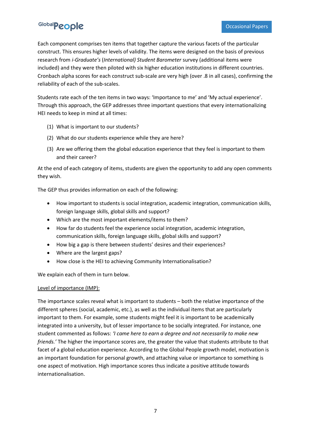Each component comprises ten items that together capture the various facets of the particular construct. This ensures higher levels of validity. The items were designed on the basis of previous research from *i-Graduate's* (*International) Student Barometer* survey (additional items were included) and they were then piloted with six higher education institutions in different countries. Cronbach alpha scores for each construct sub-scale are very high (over .8 in all cases), confirming the reliability of each of the sub-scales.

Students rate each of the ten items in two ways: 'Importance to me' and 'My actual experience'. Through this approach, the GEP addresses three important questions that every internationalizing HEI needs to keep in mind at all times:

- (1) What is important to our students?
- (2) What do our students experience while they are here?
- (3) Are we offering them the global education experience that they feel is important to them and their career?

At the end of each category of items, students are given the opportunity to add any open comments they wish.

The GEP thus provides information on each of the following:

- How important to students is social integration, academic integration, communication skills, foreign language skills, global skills and support?
- Which are the most important elements/items to them?
- How far do students feel the experience social integration, academic integration, communication skills, foreign language skills, global skills and support?
- How big a gap is there between students' desires and their experiences?
- Where are the largest gaps?
- How close is the HEI to achieving Community Internationalisation?

We explain each of them in turn below.

#### Level of importance (IMP):

The importance scales reveal what is important to students – both the relative importance of the different spheres (social, academic, etc.), as well as the individual items that are particularly important to them. For example, some students might feel it is important to be academically integrated into a university, but of lesser importance to be socially integrated. For instance, one student commented as follows: *'I came here to earn a degree and not necessarily to make new friends.'* The higher the importance scores are, the greater the value that students attribute to that facet of a global education experience. According to the Global People growth model, motivation is an important foundation for personal growth, and attaching value or importance to something is one aspect of motivation. High importance scores thus indicate a positive attitude towards internationalisation.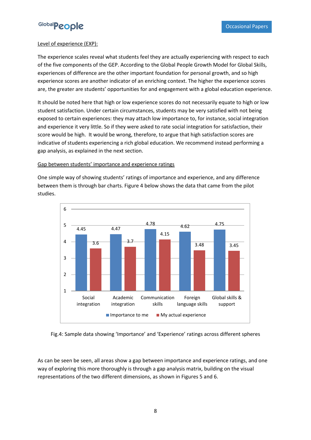

#### Level of experience (EXP):

The experience scales reveal what students feel they are actually experiencing with respect to each of the five components of the GEP. According to the Global People Growth Model for Global Skills, experiences of difference are the other important foundation for personal growth, and so high experience scores are another indicator of an enriching context. The higher the experience scores are, the greater are students' opportunities for and engagement with a global education experience.

It should be noted here that high or low experience scores do not necessarily equate to high or low student satisfaction. Under certain circumstances, students may be very satisfied with not being exposed to certain experiences: they may attach low importance to, for instance, social integration and experience it very little. So if they were asked to rate social integration for satisfaction, their score would be high. It would be wrong, therefore, to argue that high satisfaction scores are indicative of students experiencing a rich global education. We recommend instead performing a gap analysis, as explained in the next section.

#### Gap between students' importance and experience ratings

One simple way of showing students' ratings of importance and experience, and any difference between them is through bar charts. Figure 4 below shows the data that came from the pilot studies.



Fig.4: Sample data showing 'Importance' and 'Experience' ratings across different spheres

As can be seen be seen, all areas show a gap between importance and experience ratings, and one way of exploring this more thoroughly is through a gap analysis matrix, building on the visual representations of the two different dimensions, as shown in Figures 5 and 6.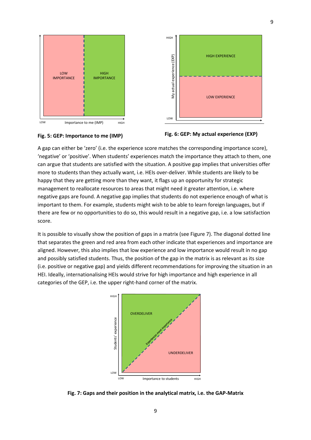

LOW Importance to me (IMP) HIGH





A gap can either be 'zero' (i.e. the experience score matches the corresponding importance score), 'negative' or 'positive'. When students' experiences match the importance they attach to them, one can argue that students are satisfied with the situation. A positive gap implies that universities offer more to students than they actually want, i.e. HEIs over-deliver. While students are likely to be happy that they are getting more than they want, it flags up an opportunity for strategic management to reallocate resources to areas that might need it greater attention, i.e. where negative gaps are found. A negative gap implies that students do not experience enough of what is important to them. For example, students might wish to be able to learn foreign languages, but if there are few or no opportunities to do so, this would result in a negative gap, i.e. a low satisfaction score.

It is possible to visually show the position of gaps in a matrix (see Figure 7). The diagonal dotted line that separates the green and red area from each other indicate that experiences and importance are aligned. However, this also implies that low experience and low importance would result in no gap and possibly satisfied students. Thus, the position of the gap in the matrix is as relevant as its size (i.e. positive or negative gap) and yields different recommendations for improving the situation in an HEI. Ideally, internationalising HEIs would strive for high importance and high experience in all categories of the GEP, i.e. the upper right-hand corner of the matrix.



**Fig. 7: Gaps and their position in the analytical matrix, i.e. the GAP-Matrix**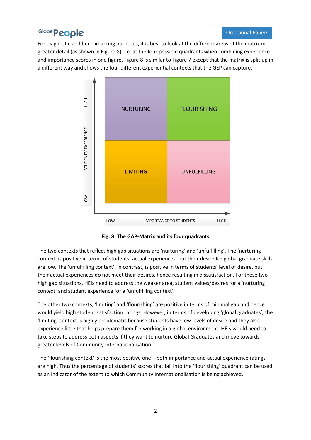For diagnostic and benchmarking purposes, it is best to look at the different areas of the matrix in greater detail (as shown in Figure 8), i.e. at the four possible quadrants when combining experience and importance scores in one figure. Figure 8 is similar to Figure 7 except that the matrix is split up in a different way and shows the four different experiential contexts that the GEP can capture.



**Fig. 8: The GAP-Matrix and its four quadrants**

The two contexts that reflect high gap situations are 'nurturing' and 'unfulfilling'. The 'nurturing context' is positive in terms of students' actual experiences, but their desire for global graduate skills are low. The 'unfulfilling context', in contrast, is positive in terms of students' level of desire, but their actual experiences do not meet their desires, hence resulting in dissatisfaction. For these two high gap situations, HEIs need to address the weaker area, student values/desires for a 'nurturing context' and student experience for a 'unfulfilling context'.

The other two contexts, 'limiting' and 'flourishing' are positive in terms of minimal gap and hence would yield high student satisfaction ratings. However, in terms of developing 'global graduates', the 'limiting' context is highly problematic because students have low levels of desire and they also experience little that helps prepare them for working in a global environment. HEIs would need to take steps to address both aspects if they want to nurture Global Graduates and move towards greater levels of Community Internationalisation.

The 'flourishing context' is the most positive one – both importance and actual experience ratings are high. Thus the percentage of students' scores that fall into the 'flourishing' quadrant can be used as an indicator of the extent to which Community Internationalisation is being achieved.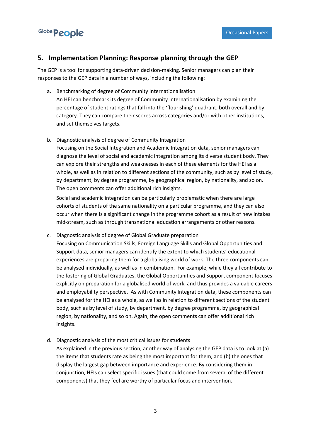

#### <span id="page-12-0"></span>**5. Implementation Planning: Response planning through the GEP**

The GEP is a tool for supporting data-driven decision-making. Senior managers can plan their responses to the GEP data in a number of ways, including the following:

- a. Benchmarking of degree of Community Internationalisation An HEI can benchmark its degree of Community Internationalisation by examining the percentage of student ratings that fall into the 'flourishing' quadrant, both overall and by category. They can compare their scores across categories and/or with other institutions, and set themselves targets.
- b. Diagnostic analysis of degree of Community Integration

Focusing on the Social Integration and Academic Integration data, senior managers can diagnose the level of social and academic integration among its diverse student body. They can explore their strengths and weaknesses in each of these elements for the HEI as a whole, as well as in relation to different sections of the community, such as by level of study, by department, by degree programme, by geographical region, by nationality, and so on. The open comments can offer additional rich insights.

Social and academic integration can be particularly problematic when there are large cohorts of students of the same nationality on a particular programme, and they can also occur when there is a significant change in the programme cohort as a result of new intakes mid-stream, such as through transnational education arrangements or other reasons.

- c. Diagnostic analysis of degree of Global Graduate preparation Focusing on Communication Skills, Foreign Language Skills and Global Opportunities and Support data, senior managers can identify the extent to which students' educational experiences are preparing them for a globalising world of work. The three components can be analysed individually, as well as in combination. For example, while they all contribute to the fostering of Global Graduates, the Global Opportunities and Support component focuses explicitly on preparation for a globalised world of work, and thus provides a valuable careers and employability perspective. As with Community Integration data, these components can be analysed for the HEI as a whole, as well as in relation to different sections of the student body, such as by level of study, by department, by degree programme, by geographical region, by nationality, and so on. Again, the open comments can offer additional rich insights.
- d. Diagnostic analysis of the most critical issues for students

As explained in the previous section, another way of analysing the GEP data is to look at (a) the items that students rate as being the most important for them, and (b) the ones that display the largest gap between importance and experience. By considering them in conjunction, HEIs can select specific issues (that could come from several of the different components) that they feel are worthy of particular focus and intervention.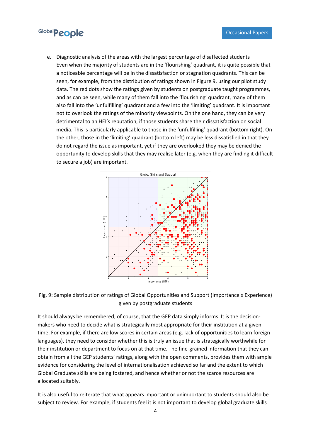e. Diagnostic analysis of the areas with the largest percentage of disaffected students Even when the majority of students are in the 'flourishing' quadrant, it is quite possible that a noticeable percentage will be in the dissatisfaction or stagnation quadrants. This can be seen, for example, from the distribution of ratings shown in Figure 9, using our pilot study data. The red dots show the ratings given by students on postgraduate taught programmes, and as can be seen, while many of them fall into the 'flourishing' quadrant, many of them also fall into the 'unfulfilling' quadrant and a few into the 'limiting' quadrant. It is important not to overlook the ratings of the minority viewpoints. On the one hand, they can be very detrimental to an HEI's reputation, if those students share their dissatisfaction on social media. This is particularly applicable to those in the 'unfulfilling' quadrant (bottom right). On the other, those in the 'limiting' quadrant (bottom left) may be less dissatisfied in that they do not regard the issue as important, yet if they are overlooked they may be denied the opportunity to develop skills that they may realise later (e.g. when they are finding it difficult to secure a job) are important.





It should always be remembered, of course, that the GEP data simply informs. It is the decisionmakers who need to decide what is strategically most appropriate for their institution at a given time. For example, if there are low scores in certain areas (e.g. lack of opportunities to learn foreign languages), they need to consider whether this is truly an issue that is strategically worthwhile for their institution or department to focus on at that time. The fine-grained information that they can obtain from all the GEP students' ratings, along with the open comments, provides them with ample evidence for considering the level of internationalisation achieved so far and the extent to which Global Graduate skills are being fostered, and hence whether or not the scarce resources are allocated suitably.

It is also useful to reiterate that what appears important or unimportant to students should also be subject to review. For example, if students feel it is not important to develop global graduate skills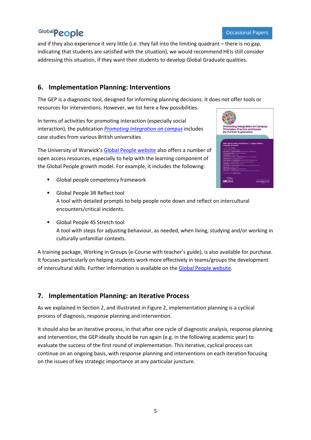and if they also experience it very little (i.e. they fall into the limiting quadrant – there is no gap, indicating that students are satisfied with the situation), we would recommend HEIs still consider addressing this situation, if they want their students to develop Global Graduate qualities.

#### <span id="page-14-0"></span>**6. Implementation Planning: Interventions**

The GEP is a diagnostic tool, designed for informing planning decisions. It does not offer tools or resources for interventions. However, we list here a few possibilities.

In terms of activities for promoting interaction (especially social interaction), the publication *[Promoting Integration on campus](https://warwick.ac.uk/fac/cross_fac/globalpeople2/knowledgeexchange/papers/workingpapers/occasionalpapers/)* includes case studies from various British universities

The University of Warwick's [Global People website](http://www.globalpeople.org.uk/) also offers a number of open access resources, especially to help with the learning component of the Global People growth model. For example, it includes the following:

■ Global people competency framework



- Global People 3R Reflect tool A tool with detailed prompts to help people note down and reflect on intercultural encounters/critical incidents.
- Global People 4S Stretch tool A tool with steps for adjusting behaviour, as needed, when living, studying and/or working in culturally unfamiliar contexts.

A training package, Working in Groups (e-Course with teacher's guide), is also available for purchase. It focuses particularly on helping students work more effectively in teams/groups the development of intercultural skills. Further information is available on the [Global People website.](http://www.warwick.ac.uk/globaluni)

#### <span id="page-14-1"></span>**7. Implementation Planning: an Iterative Process**

As we explained in Section 2, and illustrated in Figure 2, implementation planning is a cyclical process of diagnosis, response planning and intervention.

It should also be an iterative process, in that after one cycle of diagnostic analysis, response planning and intervention, the GEP ideally should be run again (e.g. in the following academic year) to evaluate the success of the first round of implementation. This iterative, cyclical process can continue on an ongoing basis, with response planning and interventions on each iteration focusing on the issues of key strategic importance at any particular juncture.